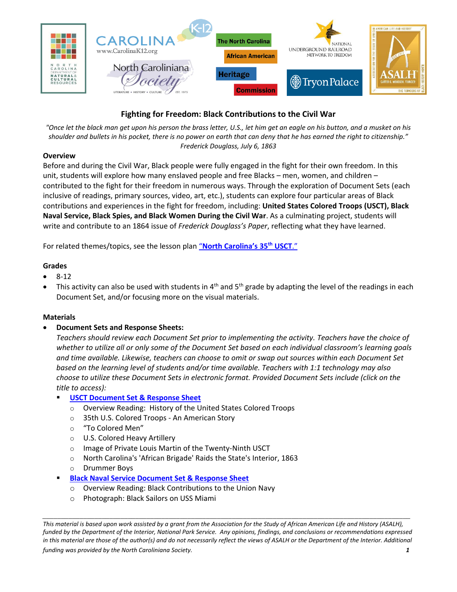

# **Fighting for Freedom: Black Contributions to the Civil War**

*"Once let the black man get upon his person the brass letter, U.S., let him get an eagle on his button, and a musket on his shoulder and bullets in his pocket, there is no power on earth that can deny that he has earned the right to citizenship." Frederick Douglass, July 6, 1863*

## **Overview**

Before and during the Civil War, Black people were fully engaged in the fight for their own freedom. In this unit, students will explore how many enslaved people and free Blacks – men, women, and children – contributed to the fight for their freedom in numerous ways. Through the exploration of Document Sets (each inclusive of readings, primary sources, video, art, etc.), students can explore four particular areas of Black contributions and experiences in the fight for freedom, including: **United States Colored Troops (USCT), Black Naval Service, Black Spies, and Black Women During the Civil War**. As a culminating project, students will write and contribute to an 1864 issue of *Frederick Douglass's Paper*, reflecting what they have learned.

For related themes/topics, see the lesson plan "**[North Carolina's 35](https://k12database.unc.edu/wp-content/uploads/sites/31/2022/03/NC35thUSCT54.pdf)th USCT**."

## **Grades**

- 8-12
- This activity can also be used with students in  $4<sup>th</sup>$  and  $5<sup>th</sup>$  grade by adapting the level of the readings in each Document Set, and/or focusing more on the visual materials.

#### **Materials**

#### • **Document Sets and Response Sheets:**

*Teachers should review each Document Set prior to implementing the activity. Teachers have the choice of whether to utilize all or only some of the Document Set based on each individual classroom's learning goals and time available. Likewise, teachers can choose to omit or swap out sources within each Document Set based on the learning level of students and/or time available. Teachers with 1:1 technology may also choose to utilize these Document Sets in electronic format. Provided Document Sets include (click on the title to access):*

- **[USCT Document Set](https://drive.google.com/file/d/1cAZkR9iFbfyjLSG6_HjNJe7Jk8j4sheO/view?usp=sharing) & Response Sheet**
	- o Overview Reading: History of the United States Colored Troops
	- o 35th U.S. Colored Troops An American Story
	- o "To Colored Men"
	- o U.S. Colored Heavy Artillery
	- o Image of Private Louis Martin of the Twenty-Ninth USCT
	- o North Carolina's 'African Brigade' Raids the State's Interior, 1863
	- o Drummer Boys
	- **[Black Naval Service Document Set & Response Sheet](https://drive.google.com/file/d/1kaKRn3vKFUE8WQL1B6nzFwt6G8ex7mU1/view?usp=sharing)** 
		- o Overview Reading: Black Contributions to the Union Navy
		- o Photograph: Black Sailors on USS Miami

*This material is based upon work assisted by a grant from the Association for the Study of African American Life and History (ASALH), funded by the Department of the Interior, National Park Service. Any opinions, findings, and conclusions or recommendations expressed in this material are those of the author(s) and do not necessarily reflect the views of ASALH or the Department of the Interior. Additional funding was provided by the North Caroliniana Society. 1*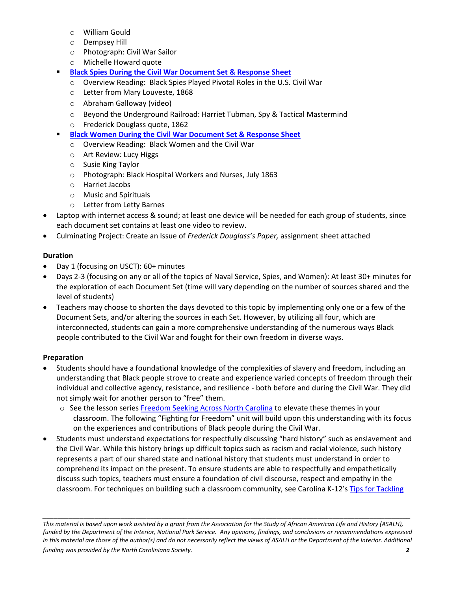- o William Gould
- o Dempsey Hill
- o Photograph: Civil War Sailor
- o Michelle Howard quote
- **[Black Spies During the Civil War Document Set & Response Sheet](https://drive.google.com/file/d/1xHNQJgveCy6CttJiXNyHKhBfhBSp60Pp/view?usp=sharing)** 
	- o Overview Reading: Black Spies Played Pivotal Roles in the U.S. Civil War
	- o Letter from Mary Louveste, 1868
	- o Abraham Galloway (video)
	- o Beyond the Underground Railroad: Harriet Tubman, Spy & Tactical Mastermind
	- o Frederick Douglass quote, 1862
- **[Black Women During the Civil War](https://drive.google.com/file/d/18vQBh-MovkMhmxVXCt0OflRjbzgzcOR5/view?usp=sharing) Document Set & Response Sheet** 
	- o Overview Reading: Black Women and the Civil War
	- o Art Review: Lucy Higgs
	- o Susie King Taylor
	- o Photograph: Black Hospital Workers and Nurses, July 1863
	- o Harriet Jacobs
	- o Music and Spirituals
	- o Letter from Letty Barnes
- Laptop with internet access & sound; at least one device will be needed for each group of students, since each document set contains at least one video to review.
- Culminating Project: Create an Issue of *Frederick Douglass's Paper,* assignment sheet attached

## **Duration**

- Day 1 (focusing on USCT): 60+ minutes
- Days 2-3 (focusing on any or all of the topics of Naval Service, Spies, and Women): At least 30+ minutes for the exploration of each Document Set (time will vary depending on the number of sources shared and the level of students)
- Teachers may choose to shorten the days devoted to this topic by implementing only one or a few of the Document Sets, and/or altering the sources in each Set. However, by utilizing all four, which are interconnected, students can gain a more comprehensive understanding of the numerous ways Black people contributed to the Civil War and fought for their own freedom in diverse ways.

## **Preparation**

- Students should have a foundational knowledge of the complexities of slavery and freedom, including an understanding that Black people strove to create and experience varied concepts of freedom through their individual and collective agency, resistance, and resilience - both before and during the Civil War. They did not simply wait for another person to "free" them.
	- o See the lesson serie[s Freedom Seeking Across North Carolina](https://k12database.unc.edu/wp-content/uploads/sites/31/2021/04/FreedomSeekingAcrossNorthCarolina.pdf) to elevate these themes in your classroom. The following "Fighting for Freedom" unit will build upon this understanding with its focus on the experiences and contributions of Black people during the Civil War.
- Students must understand expectations for respectfully discussing "hard history" such as enslavement and the Civil War. While this history brings up difficult topics such as racism and racial violence, such history represents a part of our shared state and national history that students must understand in order to comprehend its impact on the present. To ensure students are able to respectfully and empathetically discuss such topics, teachers must ensure a foundation of civil discourse, respect and empathy in the classroom. For techniques on building such a classroom community, see Carolina K-12's Tips for Tackling

*This material is based upon work assisted by a grant from the Association for the Study of African American Life and History (ASALH), funded by the Department of the Interior, National Park Service. Any opinions, findings, and conclusions or recommendations expressed in this material are those of the author(s) and do not necessarily reflect the views of ASALH or the Department of the Interior. Additional funding was provided by the North Caroliniana Society. 2*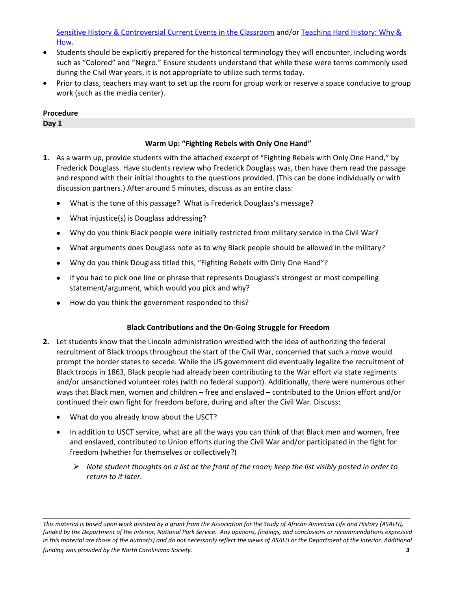[Sensitive History & Controversial Current Events in the Classroom](https://k12database.unc.edu/wp-content/uploads/sites/31/2019/06/TipsControversialIssues.pdf) and/o[r Teaching Hard History: Why &](https://www.youtube.com/watch?v=kNgDv8fH5sw&list=PLYiQiAK1VOCzg8WKmzZM8R2cabyRmC6PB&index=1)  [How.](https://www.youtube.com/watch?v=kNgDv8fH5sw&list=PLYiQiAK1VOCzg8WKmzZM8R2cabyRmC6PB&index=1)

- Students should be explicitly prepared for the historical terminology they will encounter, including words such as "Colored" and "Negro." Ensure students understand that while these were terms commonly used during the Civil War years, it is not appropriate to utilize such terms today.
- Prior to class, teachers may want to set up the room for group work or reserve a space conducive to group work (such as the media center).

# **Procedure**

**Day 1**

## **Warm Up: "Fighting Rebels with Only One Hand"**

- **1.** As a warm up, provide students with the attached excerpt of "Fighting Rebels with Only One Hand," by Frederick Douglass. Have students review who Frederick Douglass was, then have them read the passage and respond with their initial thoughts to the questions provided. (This can be done individually or with discussion partners.) After around 5 minutes, discuss as an entire class:
	- What is the tone of this passage? What is Frederick Douglass's message?
	- What injustice(s) is Douglass addressing?
	- Why do you think Black people were initially restricted from military service in the Civil War?
	- What arguments does Douglass note as to why Black people should be allowed in the military?
	- Why do you think Douglass titled this, "Fighting Rebels with Only One Hand"?
	- If you had to pick one line or phrase that represents Douglass's strongest or most compelling statement/argument, which would you pick and why?
	- How do you think the government responded to this?

## **Black Contributions and the On-Going Struggle for Freedom**

- **2.** Let students know that the Lincoln administration wrestled with the idea of authorizing the federal recruitment of Black troops throughout the start of the Civil War, concerned that such a move would prompt the border states to secede. While the US government did eventually legalize the recruitment of Black troops in 1863, Black people had already been contributing to the War effort via state regiments and/or unsanctioned volunteer roles (with no federal support). Additionally, there were numerous other ways that Black men, women and children – free and enslaved – contributed to the Union effort and/or continued their own fight for freedom before, during and after the Civil War. Discuss:
	- What do you already know about the USCT?
	- In addition to USCT service, what are all the ways you can think of that Black men and women, free and enslaved, contributed to Union efforts during the Civil War and/or participated in the fight for freedom (whether for themselves or collectively?)
		- ➢ *Note student thoughts on a list at the front of the room; keep the list visibly posted in order to return to it later.*

*This material is based upon work assisted by a grant from the Association for the Study of African American Life and History (ASALH), funded by the Department of the Interior, National Park Service. Any opinions, findings, and conclusions or recommendations expressed in this material are those of the author(s) and do not necessarily reflect the views of ASALH or the Department of the Interior. Additional funding was provided by the North Caroliniana Society. 3*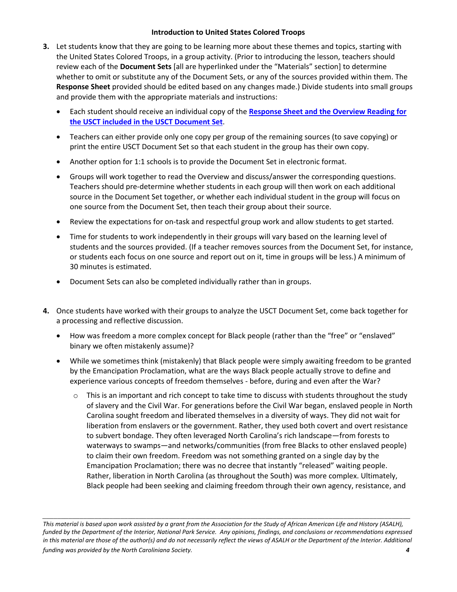#### **Introduction to United States Colored Troops**

- **3.** Let students know that they are going to be learning more about these themes and topics, starting with the United States Colored Troops, in a group activity. (Prior to introducing the lesson, teachers should review each of the **Document Sets** [all are hyperlinked under the "Materials" section] to determine whether to omit or substitute any of the Document Sets, or any of the sources provided within them. The **Response Sheet** provided should be edited based on any changes made.) Divide students into small groups and provide them with the appropriate materials and instructions:
	- Each student should receive an individual copy of the **[Response Sheet and the Overview Reading](https://drive.google.com/file/d/1cAZkR9iFbfyjLSG6_HjNJe7Jk8j4sheO/view?usp=sharing) for the USCT [included in the USCT Document Set](https://drive.google.com/file/d/1cAZkR9iFbfyjLSG6_HjNJe7Jk8j4sheO/view?usp=sharing)**.
	- Teachers can either provide only one copy per group of the remaining sources (to save copying) or print the entire USCT Document Set so that each student in the group has their own copy.
	- Another option for 1:1 schools is to provide the Document Set in electronic format.
	- Groups will work together to read the Overview and discuss/answer the corresponding questions. Teachers should pre-determine whether students in each group will then work on each additional source in the Document Set together, or whether each individual student in the group will focus on one source from the Document Set, then teach their group about their source.
	- Review the expectations for on-task and respectful group work and allow students to get started.
	- Time for students to work independently in their groups will vary based on the learning level of students and the sources provided. (If a teacher removes sources from the Document Set, for instance, or students each focus on one source and report out on it, time in groups will be less.) A minimum of 30 minutes is estimated.
	- Document Sets can also be completed individually rather than in groups.
- **4.** Once students have worked with their groups to analyze the USCT Document Set, come back together for a processing and reflective discussion.
	- How was freedom a more complex concept for Black people (rather than the "free" or "enslaved" binary we often mistakenly assume)?
	- While we sometimes think (mistakenly) that Black people were simply awaiting freedom to be granted by the Emancipation Proclamation, what are the ways Black people actually strove to define and experience various concepts of freedom themselves - before, during and even after the War?
		- $\circ$  This is an important and rich concept to take time to discuss with students throughout the study of slavery and the Civil War. For generations before the Civil War began, enslaved people in North Carolina sought freedom and liberated themselves in a diversity of ways. They did not wait for liberation from enslavers or the government. Rather, they used both covert and overt resistance to subvert bondage. They often leveraged North Carolina's rich landscape—from forests to waterways to swamps—and networks/communities (from free Blacks to other enslaved people) to claim their own freedom. Freedom was not something granted on a single day by the Emancipation Proclamation; there was no decree that instantly "released" waiting people. Rather, liberation in North Carolina (as throughout the South) was more complex. Ultimately, Black people had been seeking and claiming freedom through their own agency, resistance, and

*This material is based upon work assisted by a grant from the Association for the Study of African American Life and History (ASALH), funded by the Department of the Interior, National Park Service. Any opinions, findings, and conclusions or recommendations expressed in this material are those of the author(s) and do not necessarily reflect the views of ASALH or the Department of the Interior. Additional funding was provided by the North Caroliniana Society. 4*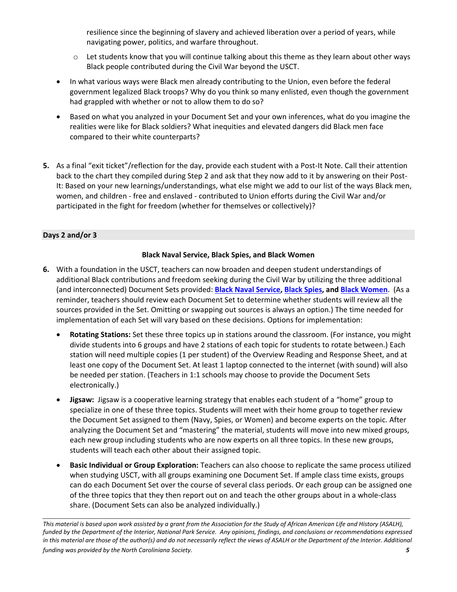resilience since the beginning of slavery and achieved liberation over a period of years, while navigating power, politics, and warfare throughout.

- $\circ$  Let students know that you will continue talking about this theme as they learn about other ways Black people contributed during the Civil War beyond the USCT.
- In what various ways were Black men already contributing to the Union, even before the federal government legalized Black troops? Why do you think so many enlisted, even though the government had grappled with whether or not to allow them to do so?
- Based on what you analyzed in your Document Set and your own inferences, what do you imagine the realities were like for Black soldiers? What inequities and elevated dangers did Black men face compared to their white counterparts?
- **5.** As a final "exit ticket"/reflection for the day, provide each student with a Post-It Note. Call their attention back to the chart they compiled during Step 2 and ask that they now add to it by answering on their Post-It: Based on your new learnings/understandings, what else might we add to our list of the ways Black men, women, and children - free and enslaved - contributed to Union efforts during the Civil War and/or participated in the fight for freedom (whether for themselves or collectively)?

## **Days 2 and/or 3**

## **Black Naval Service, Black Spies, and Black Women**

- **6.** With a foundation in the USCT, teachers can now broaden and deepen student understandings of additional Black contributions and freedom seeking during the Civil War by utilizing the three additional (and interconnected) Document Sets provided: **[Black Naval Service,](https://drive.google.com/file/d/1kaKRn3vKFUE8WQL1B6nzFwt6G8ex7mU1/view?usp=sharing) [Black Spies,](https://drive.google.com/file/d/1xHNQJgveCy6CttJiXNyHKhBfhBSp60Pp/view?usp=sharing) an[d Black Women](https://drive.google.com/file/d/18vQBh-MovkMhmxVXCt0OflRjbzgzcOR5/view?usp=sharing)**. (As a reminder, teachers should review each Document Set to determine whether students will review all the sources provided in the Set. Omitting or swapping out sources is always an option.) The time needed for implementation of each Set will vary based on these decisions. Options for implementation:
	- **Rotating Stations:** Set these three topics up in stations around the classroom. (For instance, you might divide students into 6 groups and have 2 stations of each topic for students to rotate between.) Each station will need multiple copies (1 per student) of the Overview Reading and Response Sheet, and at least one copy of the Document Set. At least 1 laptop connected to the internet (with sound) will also be needed per station. (Teachers in 1:1 schools may choose to provide the Document Sets electronically.)
	- **Jigsaw:** Jigsaw is a cooperative learning strategy that enables each student of a "home" group to specialize in one of these three topics. Students will meet with their home group to together review the Document Set assigned to them (Navy, Spies, or Women) and become experts on the topic. After analyzing the Document Set and "mastering" the material, students will move into new mixed groups, each new group including students who are now experts on all three topics. In these new groups, students will teach each other about their assigned topic.
	- **Basic Individual or Group Exploration:** Teachers can also choose to replicate the same process utilized when studying USCT, with all groups examining one Document Set. If ample class time exists, groups can do each Document Set over the course of several class periods. Or each group can be assigned one of the three topics that they then report out on and teach the other groups about in a whole-class share. (Document Sets can also be analyzed individually.)

*This material is based upon work assisted by a grant from the Association for the Study of African American Life and History (ASALH), funded by the Department of the Interior, National Park Service. Any opinions, findings, and conclusions or recommendations expressed in this material are those of the author(s) and do not necessarily reflect the views of ASALH or the Department of the Interior. Additional funding was provided by the North Caroliniana Society. 5*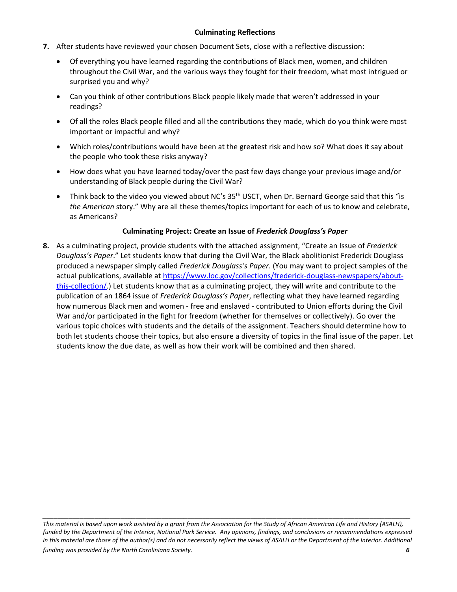#### **Culminating Reflections**

- **7.** After students have reviewed your chosen Document Sets, close with a reflective discussion:
	- Of everything you have learned regarding the contributions of Black men, women, and children throughout the Civil War, and the various ways they fought for their freedom, what most intrigued or surprised you and why?
	- Can you think of other contributions Black people likely made that weren't addressed in your readings?
	- Of all the roles Black people filled and all the contributions they made, which do you think were most important or impactful and why?
	- Which roles/contributions would have been at the greatest risk and how so? What does it say about the people who took these risks anyway?
	- How does what you have learned today/over the past few days change your previous image and/or understanding of Black people during the Civil War?
	- Think back to the video you viewed about NC's 35<sup>th</sup> USCT, when Dr. Bernard George said that this "is *the American* story." Why are all these themes/topics important for each of us to know and celebrate, as Americans?

## **Culminating Project: Create an Issue of** *Frederick Douglass's Paper*

**8.** As a culminating project, provide students with the attached assignment, "Create an Issue of *Frederick Douglass's Paper*." Let students know that during the Civil War, the Black abolitionist Frederick Douglass produced a newspaper simply called *Frederick Douglass's Paper*. (You may want to project samples of the actual publications, available at [https://www.loc.gov/collections/frederick-douglass-newspapers/about](https://www.loc.gov/collections/frederick-douglass-newspapers/about-this-collection/)[this-collection/.](https://www.loc.gov/collections/frederick-douglass-newspapers/about-this-collection/)) Let students know that as a culminating project, they will write and contribute to the publication of an 1864 issue of *Frederick Douglass's Paper*, reflecting what they have learned regarding how numerous Black men and women - free and enslaved - contributed to Union efforts during the Civil War and/or participated in the fight for freedom (whether for themselves or collectively). Go over the various topic choices with students and the details of the assignment. Teachers should determine how to both let students choose their topics, but also ensure a diversity of topics in the final issue of the paper. Let students know the due date, as well as how their work will be combined and then shared.

*This material is based upon work assisted by a grant from the Association for the Study of African American Life and History (ASALH), funded by the Department of the Interior, National Park Service. Any opinions, findings, and conclusions or recommendations expressed in this material are those of the author(s) and do not necessarily reflect the views of ASALH or the Department of the Interior. Additional funding was provided by the North Caroliniana Society. 6*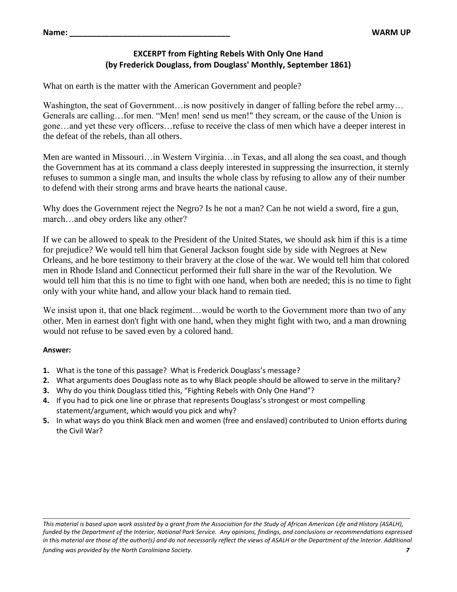# **EXCERPT from Fighting Rebels With Only One Hand (by Frederick Douglass, from Douglass' Monthly, September 1861)**

What on earth is the matter with the American Government and people?

Washington, the seat of Government... is now positively in danger of falling before the rebel army... Generals are calling…for men. "Men! men! send us men!" they scream, or the cause of the Union is gone…and yet these very officers…refuse to receive the class of men which have a deeper interest in the defeat of the rebels, than all others.

Men are wanted in Missouri…in Western Virginia…in Texas, and all along the sea coast, and though the Government has at its command a class deeply interested in suppressing the insurrection, it sternly refuses to summon a single man, and insults the whole class by refusing to allow any of their number to defend with their strong arms and brave hearts the national cause.

Why does the Government reject the Negro? Is he not a man? Can he not wield a sword, fire a gun, march…and obey orders like any other?

If we can be allowed to speak to the President of the United States, we should ask him if this is a time for prejudice? We would tell him that General Jackson fought side by side with Negroes at New Orleans, and he bore testimony to their bravery at the close of the war. We would tell him that colored men in Rhode Island and Connecticut performed their full share in the war of the Revolution. We would tell him that this is no time to fight with one hand, when both are needed; this is no time to fight only with your white hand, and allow your black hand to remain tied.

We insist upon it, that one black regiment…would be worth to the Government more than two of any other. Men in earnest don't fight with one hand, when they might fight with two, and a man drowning would not refuse to be saved even by a colored hand.

## **Answer:**

- **1.** What is the tone of this passage? What is Frederick Douglass's message?
- **2.** What arguments does Douglass note as to why Black people should be allowed to serve in the military?
- **3.** Why do you think Douglass titled this, "Fighting Rebels with Only One Hand"?
- **4.** If you had to pick one line or phrase that represents Douglass's strongest or most compelling statement/argument, which would you pick and why?
- **5.** In what ways do you think Black men and women (free and enslaved) contributed to Union efforts during the Civil War?

*This material is based upon work assisted by a grant from the Association for the Study of African American Life and History (ASALH), funded by the Department of the Interior, National Park Service. Any opinions, findings, and conclusions or recommendations expressed in this material are those of the author(s) and do not necessarily reflect the views of ASALH or the Department of the Interior. Additional funding was provided by the North Caroliniana Society. 7*